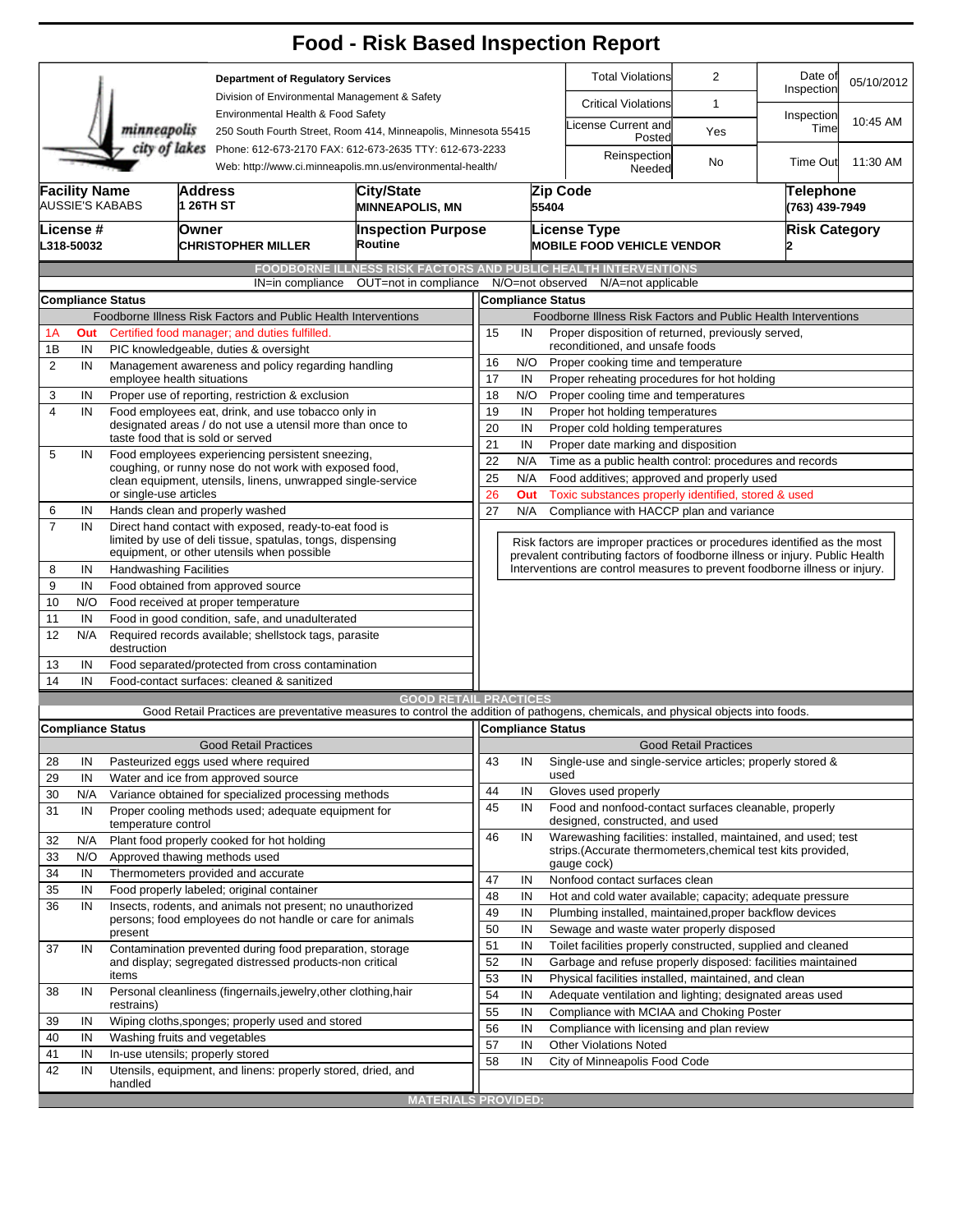|                |                         |                                                        |                                                       |                                                                                                                 | <b>Food - Risk Based Inspection Report</b>                                                                                        |                                                                                                             |                                                                          |                                                                                          |                                                                            |                                    |                       |            |  |  |  |  |
|----------------|-------------------------|--------------------------------------------------------|-------------------------------------------------------|-----------------------------------------------------------------------------------------------------------------|-----------------------------------------------------------------------------------------------------------------------------------|-------------------------------------------------------------------------------------------------------------|--------------------------------------------------------------------------|------------------------------------------------------------------------------------------|----------------------------------------------------------------------------|------------------------------------|-----------------------|------------|--|--|--|--|
|                |                         |                                                        |                                                       | <b>Department of Regulatory Services</b><br>Division of Environmental Management & Safety                       |                                                                                                                                   |                                                                                                             |                                                                          |                                                                                          | <b>Total Violations</b>                                                    | $\overline{2}$                     | Date of<br>Inspection | 05/10/2012 |  |  |  |  |
|                |                         |                                                        |                                                       |                                                                                                                 |                                                                                                                                   |                                                                                                             |                                                                          |                                                                                          | <b>Critical Violations</b>                                                 | 1                                  |                       |            |  |  |  |  |
|                |                         | minneapolis                                            |                                                       | Environmental Health & Food Safety<br>250 South Fourth Street, Room 414, Minneapolis, Minnesota 55415           |                                                                                                                                   |                                                                                                             |                                                                          |                                                                                          | icense Current and<br>Posted                                               | Yes                                | Inspection<br>Time    | 10:45 AM   |  |  |  |  |
| city of lakes  |                         |                                                        |                                                       |                                                                                                                 | Phone: 612-673-2170 FAX: 612-673-2635 TTY: 612-673-2233<br>Web: http://www.ci.minneapolis.mn.us/environmental-health/             |                                                                                                             |                                                                          |                                                                                          |                                                                            | No                                 | Time Out              | 11:30 AM   |  |  |  |  |
|                | <b>Facility Name</b>    | <b>AUSSIE'S KABABS</b>                                 |                                                       | Address<br>1 26TH ST                                                                                            | <b>City/State</b><br><b>MINNEAPOLIS, MN</b>                                                                                       | 55404                                                                                                       |                                                                          |                                                                                          | Zip Code                                                                   | <b>Telephone</b><br>(763) 439-7949 |                       |            |  |  |  |  |
|                | License #<br>L318-50032 |                                                        |                                                       | Owner<br><b>CHRISTOPHER MILLER</b>                                                                              | Routine                                                                                                                           | <b>Inspection Purpose</b>                                                                                   |                                                                          |                                                                                          | <b>License Type</b><br><b>MOBILE FOOD VEHICLE VENDOR</b>                   |                                    | <b>Risk Category</b>  |            |  |  |  |  |
|                |                         |                                                        |                                                       |                                                                                                                 | <b>FOODBORNE ILLNESS RISK FACTORS AND PUBLIC HEALTH INTERVENTIONS</b>                                                             |                                                                                                             |                                                                          |                                                                                          |                                                                            |                                    |                       |            |  |  |  |  |
|                |                         |                                                        |                                                       | IN=in compliance                                                                                                | OUT=not in compliance                                                                                                             |                                                                                                             |                                                                          |                                                                                          | N/O=not observed<br>N/A=not applicable                                     |                                    |                       |            |  |  |  |  |
|                |                         | <b>Compliance Status</b>                               |                                                       |                                                                                                                 |                                                                                                                                   |                                                                                                             |                                                                          |                                                                                          | <b>Compliance Status</b>                                                   |                                    |                       |            |  |  |  |  |
|                |                         |                                                        |                                                       | Foodborne Illness Risk Factors and Public Health Interventions                                                  |                                                                                                                                   |                                                                                                             |                                                                          |                                                                                          | Foodborne Illness Risk Factors and Public Health Interventions             |                                    |                       |            |  |  |  |  |
| 1A             | Out                     |                                                        |                                                       | Certified food manager; and duties fulfilled.                                                                   |                                                                                                                                   | Proper disposition of returned, previously served,<br>15<br>IN                                              |                                                                          |                                                                                          |                                                                            |                                    |                       |            |  |  |  |  |
| 1B             | IN                      |                                                        |                                                       | PIC knowledgeable, duties & oversight                                                                           |                                                                                                                                   | reconditioned, and unsafe foods                                                                             |                                                                          |                                                                                          |                                                                            |                                    |                       |            |  |  |  |  |
| $\overline{2}$ | IN                      |                                                        |                                                       | Management awareness and policy regarding handling                                                              |                                                                                                                                   | 16<br>N/O<br>Proper cooking time and temperature                                                            |                                                                          |                                                                                          |                                                                            |                                    |                       |            |  |  |  |  |
|                |                         | employee health situations                             |                                                       |                                                                                                                 |                                                                                                                                   | 17<br>Proper reheating procedures for hot holding<br>IN                                                     |                                                                          |                                                                                          |                                                                            |                                    |                       |            |  |  |  |  |
| 3              | IN                      |                                                        |                                                       | Proper use of reporting, restriction & exclusion                                                                |                                                                                                                                   | 18<br>N/O<br>Proper cooling time and temperatures                                                           |                                                                          |                                                                                          |                                                                            |                                    |                       |            |  |  |  |  |
| 4              | IN                      |                                                        |                                                       | Food employees eat, drink, and use tobacco only in<br>designated areas / do not use a utensil more than once to |                                                                                                                                   | 19<br>IN<br>Proper hot holding temperatures                                                                 |                                                                          |                                                                                          |                                                                            |                                    |                       |            |  |  |  |  |
|                |                         |                                                        |                                                       | taste food that is sold or served                                                                               |                                                                                                                                   | 20<br>IN<br>Proper cold holding temperatures                                                                |                                                                          |                                                                                          |                                                                            |                                    |                       |            |  |  |  |  |
| 5              | IN                      |                                                        |                                                       | Food employees experiencing persistent sneezing,                                                                |                                                                                                                                   | 21<br>IN<br>Proper date marking and disposition                                                             |                                                                          |                                                                                          |                                                                            |                                    |                       |            |  |  |  |  |
|                |                         | coughing, or runny nose do not work with exposed food, |                                                       |                                                                                                                 |                                                                                                                                   |                                                                                                             |                                                                          | 22<br>N/A<br>Time as a public health control: procedures and records                     |                                                                            |                                    |                       |            |  |  |  |  |
|                |                         | or single-use articles                                 |                                                       | clean equipment, utensils, linens, unwrapped single-service                                                     |                                                                                                                                   | 25<br>N/A<br>Food additives; approved and properly used<br>26<br>Out                                        |                                                                          |                                                                                          |                                                                            |                                    |                       |            |  |  |  |  |
| 6              | IN                      |                                                        |                                                       | Hands clean and properly washed                                                                                 |                                                                                                                                   | Toxic substances properly identified, stored & used<br>27<br>N/A<br>Compliance with HACCP plan and variance |                                                                          |                                                                                          |                                                                            |                                    |                       |            |  |  |  |  |
| $\overline{7}$ | IN                      |                                                        |                                                       | Direct hand contact with exposed, ready-to-eat food is                                                          |                                                                                                                                   |                                                                                                             |                                                                          |                                                                                          |                                                                            |                                    |                       |            |  |  |  |  |
|                |                         |                                                        |                                                       | limited by use of deli tissue, spatulas, tongs, dispensing                                                      |                                                                                                                                   |                                                                                                             | Risk factors are improper practices or procedures identified as the most |                                                                                          |                                                                            |                                    |                       |            |  |  |  |  |
|                |                         |                                                        |                                                       | equipment, or other utensils when possible                                                                      |                                                                                                                                   | prevalent contributing factors of foodborne illness or injury. Public Health                                |                                                                          |                                                                                          |                                                                            |                                    |                       |            |  |  |  |  |
| 8              | IN                      | <b>Handwashing Facilities</b>                          |                                                       |                                                                                                                 |                                                                                                                                   |                                                                                                             |                                                                          |                                                                                          | Interventions are control measures to prevent foodborne illness or injury. |                                    |                       |            |  |  |  |  |
| 9              | IN                      |                                                        |                                                       | Food obtained from approved source                                                                              |                                                                                                                                   |                                                                                                             |                                                                          |                                                                                          |                                                                            |                                    |                       |            |  |  |  |  |
| 10             | N/O                     |                                                        |                                                       | Food received at proper temperature                                                                             |                                                                                                                                   |                                                                                                             |                                                                          |                                                                                          |                                                                            |                                    |                       |            |  |  |  |  |
| 11             | IN                      | Food in good condition, safe, and unadulterated        |                                                       |                                                                                                                 |                                                                                                                                   |                                                                                                             |                                                                          |                                                                                          |                                                                            |                                    |                       |            |  |  |  |  |
| 12             | N/A                     | destruction                                            | Required records available; shellstock tags, parasite |                                                                                                                 |                                                                                                                                   |                                                                                                             |                                                                          |                                                                                          |                                                                            |                                    |                       |            |  |  |  |  |
| 13             | IN                      | Food separated/protected from cross contamination      |                                                       |                                                                                                                 |                                                                                                                                   |                                                                                                             |                                                                          |                                                                                          |                                                                            |                                    |                       |            |  |  |  |  |
| 14             | IN                      |                                                        |                                                       | Food-contact surfaces: cleaned & sanitized                                                                      |                                                                                                                                   |                                                                                                             |                                                                          |                                                                                          |                                                                            |                                    |                       |            |  |  |  |  |
|                |                         |                                                        |                                                       |                                                                                                                 | <b>GOOD RETAIL PRACTICES</b>                                                                                                      |                                                                                                             |                                                                          |                                                                                          |                                                                            |                                    |                       |            |  |  |  |  |
|                |                         | <b>Compliance Status</b>                               |                                                       |                                                                                                                 | Good Retail Practices are preventative measures to control the addition of pathogens, chemicals, and physical objects into foods. |                                                                                                             |                                                                          |                                                                                          | Compliance Status                                                          |                                    |                       |            |  |  |  |  |
|                |                         |                                                        |                                                       | <b>Good Retail Practices</b>                                                                                    |                                                                                                                                   |                                                                                                             |                                                                          |                                                                                          |                                                                            | <b>Good Retail Practices</b>       |                       |            |  |  |  |  |
| 28             | IN                      |                                                        |                                                       | Pasteurized eggs used where required                                                                            |                                                                                                                                   | 43                                                                                                          | IN                                                                       |                                                                                          | Single-use and single-service articles; properly stored &                  |                                    |                       |            |  |  |  |  |
| 29             | IN                      |                                                        |                                                       | Water and ice from approved source                                                                              |                                                                                                                                   |                                                                                                             |                                                                          |                                                                                          | used                                                                       |                                    |                       |            |  |  |  |  |
| 30             | N/A                     |                                                        | Variance obtained for specialized processing methods  |                                                                                                                 | 44                                                                                                                                | IN                                                                                                          |                                                                          | Gloves used properly                                                                     |                                                                            |                                    |                       |            |  |  |  |  |
| 31             | IN                      |                                                        | Proper cooling methods used; adequate equipment for   |                                                                                                                 | 45                                                                                                                                | IN                                                                                                          |                                                                          | Food and nonfood-contact surfaces cleanable, properly<br>designed, constructed, and used |                                                                            |                                    |                       |            |  |  |  |  |
|                | N/A                     | temperature control                                    |                                                       | Plant food properly cooked for hot holding                                                                      |                                                                                                                                   | 46                                                                                                          | IN                                                                       |                                                                                          | Warewashing facilities: installed, maintained, and used; test              |                                    |                       |            |  |  |  |  |
| 32             |                         |                                                        |                                                       |                                                                                                                 |                                                                                                                                   |                                                                                                             |                                                                          |                                                                                          | strips. (Accurate thermometers, chemical test kits provided,               |                                    |                       |            |  |  |  |  |
| 33<br>34       | N/O<br>IN               |                                                        |                                                       | Approved thawing methods used<br>Thermometers provided and accurate                                             |                                                                                                                                   |                                                                                                             |                                                                          |                                                                                          | gauge cock)                                                                |                                    |                       |            |  |  |  |  |
| 35             | IN                      |                                                        |                                                       | Food properly labeled; original container                                                                       |                                                                                                                                   | 47                                                                                                          | IN                                                                       |                                                                                          | Nonfood contact surfaces clean                                             |                                    |                       |            |  |  |  |  |
| 36             | IN                      |                                                        |                                                       | Insects, rodents, and animals not present; no unauthorized                                                      |                                                                                                                                   | 48                                                                                                          | IN                                                                       |                                                                                          | Hot and cold water available; capacity; adequate pressure                  |                                    |                       |            |  |  |  |  |
|                |                         |                                                        |                                                       | persons; food employees do not handle or care for animals                                                       |                                                                                                                                   | 49<br>IN<br>Plumbing installed, maintained, proper backflow devices                                         |                                                                          |                                                                                          |                                                                            |                                    |                       |            |  |  |  |  |
|                |                         | present                                                |                                                       |                                                                                                                 |                                                                                                                                   | 50                                                                                                          | IN                                                                       |                                                                                          | Sewage and waste water properly disposed                                   |                                    |                       |            |  |  |  |  |
| 37             | IN                      |                                                        |                                                       | Contamination prevented during food preparation, storage                                                        |                                                                                                                                   | 51                                                                                                          | IN                                                                       |                                                                                          | Toilet facilities properly constructed, supplied and cleaned               |                                    |                       |            |  |  |  |  |
|                |                         |                                                        |                                                       | and display; segregated distressed products-non critical                                                        |                                                                                                                                   | 52                                                                                                          | IN                                                                       |                                                                                          | Garbage and refuse properly disposed: facilities maintained                |                                    |                       |            |  |  |  |  |
| 38             | IN                      | items                                                  |                                                       |                                                                                                                 |                                                                                                                                   |                                                                                                             | 53<br>IN<br>Physical facilities installed, maintained, and clean         |                                                                                          |                                                                            |                                    |                       |            |  |  |  |  |
|                |                         | restrains)                                             |                                                       |                                                                                                                 | Personal cleanliness (fingernails, jewelry, other clothing, hair                                                                  |                                                                                                             | 54<br>IN<br>Adequate ventilation and lighting; designated areas used     |                                                                                          |                                                                            |                                    |                       |            |  |  |  |  |
| 39             | IN                      |                                                        |                                                       | Wiping cloths, sponges; properly used and stored                                                                |                                                                                                                                   |                                                                                                             | 55<br>Compliance with MCIAA and Choking Poster<br>IN                     |                                                                                          |                                                                            |                                    |                       |            |  |  |  |  |
| 40             | IN                      | Washing fruits and vegetables                          |                                                       |                                                                                                                 |                                                                                                                                   | 56                                                                                                          | IN                                                                       |                                                                                          | Compliance with licensing and plan review                                  |                                    |                       |            |  |  |  |  |
| 41             | IN                      | In-use utensils; properly stored                       |                                                       |                                                                                                                 |                                                                                                                                   | 57                                                                                                          | IN                                                                       |                                                                                          | <b>Other Violations Noted</b>                                              |                                    |                       |            |  |  |  |  |
| 42             | IN                      |                                                        |                                                       | Utensils, equipment, and linens: properly stored, dried, and                                                    |                                                                                                                                   | 58                                                                                                          | IN                                                                       |                                                                                          | City of Minneapolis Food Code                                              |                                    |                       |            |  |  |  |  |
|                |                         | handled                                                |                                                       |                                                                                                                 |                                                                                                                                   |                                                                                                             |                                                                          |                                                                                          |                                                                            |                                    |                       |            |  |  |  |  |
|                |                         |                                                        |                                                       |                                                                                                                 | <b>MATERIALS PROVIDED:</b>                                                                                                        |                                                                                                             |                                                                          |                                                                                          |                                                                            |                                    |                       |            |  |  |  |  |